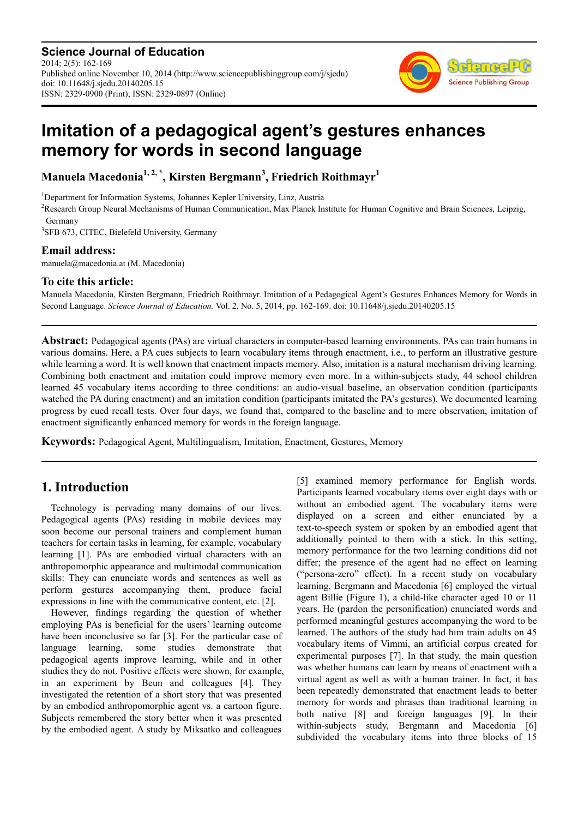**Science Journal of Education** 2014; 2(5): 162-169 Published online November 10, 2014 (http://www.sciencepublishinggroup.com/j/sjedu) doi: 10.11648/j.sjedu.20140205.15 ISSN: 2329-0900 (Print); ISSN: 2329-0897 (Online)



# **Imitation of a pedagogical agent's gestures enhances memory for words in second language**

**Manuela Macedonia1, 2, \*, Kirsten Bergmann<sup>3</sup> , Friedrich Roithmayr<sup>1</sup>**

<sup>1</sup>Department for Information Systems, Johannes Kepler University, Linz, Austria

<sup>2</sup>Research Group Neural Mechanisms of Human Communication, Max Planck Institute for Human Cognitive and Brain Sciences, Leipzig, Germany

<sup>3</sup>SFB 673, CITEC, Bielefeld University, Germany

## **Email address:**

manuela@macedonia.at (M. Macedonia)

## **To cite this article:**

Manuela Macedonia, Kirsten Bergmann, Friedrich Roithmayr. Imitation of a Pedagogical Agent's Gestures Enhances Memory for Words in Second Language. *Science Journal of Education.* Vol. 2, No. 5, 2014, pp. 162-169. doi: 10.11648/j.sjedu.20140205.15

**Abstract:** Pedagogical agents (PAs) are virtual characters in computer-based learning environments. PAs can train humans in various domains. Here, a PA cues subjects to learn vocabulary items through enactment, i.e., to perform an illustrative gesture while learning a word. It is well known that enactment impacts memory. Also, imitation is a natural mechanism driving learning. Combining both enactment and imitation could improve memory even more. In a within-subjects study, 44 school children learned 45 vocabulary items according to three conditions: an audio-visual baseline, an observation condition (participants watched the PA during enactment) and an imitation condition (participants imitated the PA's gestures). We documented learning progress by cued recall tests. Over four days, we found that, compared to the baseline and to mere observation, imitation of enactment significantly enhanced memory for words in the foreign language.

**Keywords:** Pedagogical Agent, Multilingualism, Imitation, Enactment, Gestures, Memory

# **1. Introduction**

Technology is pervading many domains of our lives. Pedagogical agents (PAs) residing in mobile devices may soon become our personal trainers and complement human teachers for certain tasks in learning, for example, vocabulary learning [1]. PAs are embodied virtual characters with an anthropomorphic appearance and multimodal communication skills: They can enunciate words and sentences as well as perform gestures accompanying them, produce facial expressions in line with the communicative content, etc. [2].

However, findings regarding the question of whether employing PAs is beneficial for the users' learning outcome have been inconclusive so far [3]. For the particular case of language learning, some studies demonstrate that pedagogical agents improve learning, while and in other studies they do not. Positive effects were shown, for example, in an experiment by Beun and colleagues [4]. They investigated the retention of a short story that was presented by an embodied anthropomorphic agent vs. a cartoon figure. Subjects remembered the story better when it was presented by the embodied agent. A study by Miksatko and colleagues

[5] examined memory performance for English words. Participants learned vocabulary items over eight days with or without an embodied agent. The vocabulary items were displayed on a screen and either enunciated by a text-to-speech system or spoken by an embodied agent that additionally pointed to them with a stick. In this setting, memory performance for the two learning conditions did not differ; the presence of the agent had no effect on learning ("persona-zero" effect). In a recent study on vocabulary learning, Bergmann and Macedonia [6] employed the virtual agent Billie (Figure 1), a child-like character aged 10 or 11 years. He (pardon the personification) enunciated words and performed meaningful gestures accompanying the word to be learned. The authors of the study had him train adults on 45 vocabulary items of Vimmi, an artificial corpus created for experimental purposes [7]. In that study, the main question was whether humans can learn by means of enactment with a virtual agent as well as with a human trainer. In fact, it has been repeatedly demonstrated that enactment leads to better memory for words and phrases than traditional learning in both native [8] and foreign languages [9]. In their within-subjects study, Bergmann and Macedonia [6] subdivided the vocabulary items into three blocks of 15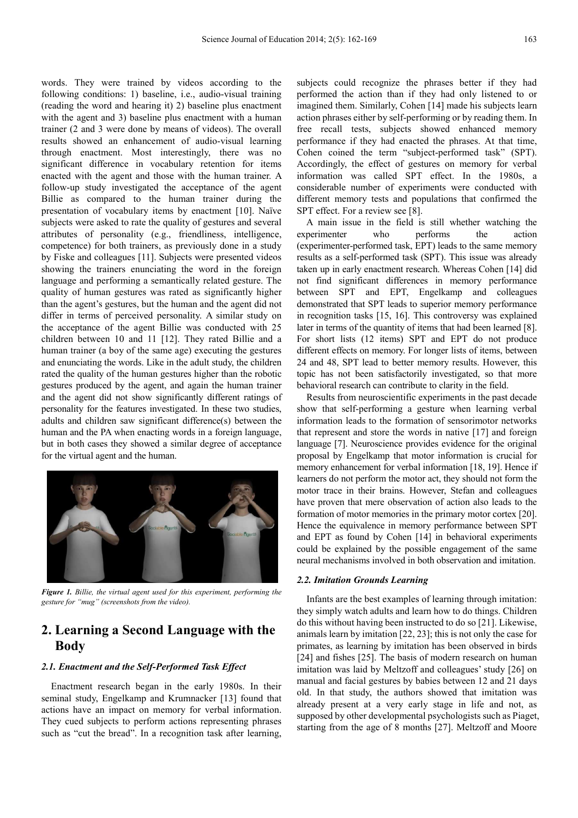words. They were trained by videos according to the following conditions: 1) baseline, i.e., audio-visual training (reading the word and hearing it) 2) baseline plus enactment with the agent and 3) baseline plus enactment with a human trainer (2 and 3 were done by means of videos). The overall results showed an enhancement of audio-visual learning through enactment. Most interestingly, there was no significant difference in vocabulary retention for items enacted with the agent and those with the human trainer. A follow-up study investigated the acceptance of the agent Billie as compared to the human trainer during the presentation of vocabulary items by enactment [10]. Naïve subjects were asked to rate the quality of gestures and several attributes of personality (e.g., friendliness, intelligence, competence) for both trainers, as previously done in a study by Fiske and colleagues [11]. Subjects were presented videos showing the trainers enunciating the word in the foreign language and performing a semantically related gesture. The quality of human gestures was rated as significantly higher than the agent's gestures, but the human and the agent did not differ in terms of perceived personality. A similar study on the acceptance of the agent Billie was conducted with 25 children between 10 and 11 [12]. They rated Billie and a human trainer (a boy of the same age) executing the gestures and enunciating the words. Like in the adult study, the children rated the quality of the human gestures higher than the robotic gestures produced by the agent, and again the human trainer and the agent did not show significantly different ratings of personality for the features investigated. In these two studies, adults and children saw significant difference(s) between the human and the PA when enacting words in a foreign language, but in both cases they showed a similar degree of acceptance for the virtual agent and the human.



*Figure 1. Billie, the virtual agent used for this experiment, performing the gesture for "mug" (screenshots from the video).* 

## **2. Learning a Second Language with the Body**

#### *2.1. Enactment and the Self-Performed Task Effect*

Enactment research began in the early 1980s. In their seminal study, Engelkamp and Krumnacker [13] found that actions have an impact on memory for verbal information. They cued subjects to perform actions representing phrases such as "cut the bread". In a recognition task after learning,

subjects could recognize the phrases better if they had performed the action than if they had only listened to or imagined them. Similarly, Cohen [14] made his subjects learn action phrases either by self-performing or by reading them. In free recall tests, subjects showed enhanced memory performance if they had enacted the phrases. At that time, Cohen coined the term "subject-performed task" (SPT). Accordingly, the effect of gestures on memory for verbal information was called SPT effect. In the 1980s, a considerable number of experiments were conducted with different memory tests and populations that confirmed the SPT effect. For a review see [8].

A main issue in the field is still whether watching the experimenter who performs the action (experimenter-performed task, EPT) leads to the same memory results as a self-performed task (SPT). This issue was already taken up in early enactment research. Whereas Cohen [14] did not find significant differences in memory performance between SPT and EPT, Engelkamp and colleagues demonstrated that SPT leads to superior memory performance in recognition tasks [15, 16]. This controversy was explained later in terms of the quantity of items that had been learned [8]. For short lists (12 items) SPT and EPT do not produce different effects on memory. For longer lists of items, between 24 and 48, SPT lead to better memory results. However, this topic has not been satisfactorily investigated, so that more behavioral research can contribute to clarity in the field.

Results from neuroscientific experiments in the past decade show that self-performing a gesture when learning verbal information leads to the formation of sensorimotor networks that represent and store the words in native [17] and foreign language [7]. Neuroscience provides evidence for the original proposal by Engelkamp that motor information is crucial for memory enhancement for verbal information [18, 19]. Hence if learners do not perform the motor act, they should not form the motor trace in their brains. However, Stefan and colleagues have proven that mere observation of action also leads to the formation of motor memories in the primary motor cortex [20]. Hence the equivalence in memory performance between SPT and EPT as found by Cohen [14] in behavioral experiments could be explained by the possible engagement of the same neural mechanisms involved in both observation and imitation.

#### *2.2. Imitation Grounds Learning*

Infants are the best examples of learning through imitation: they simply watch adults and learn how to do things. Children do this without having been instructed to do so [21]. Likewise, animals learn by imitation [22, 23]; this is not only the case for primates, as learning by imitation has been observed in birds [24] and fishes [25]. The basis of modern research on human imitation was laid by Meltzoff and colleagues' study [26] on manual and facial gestures by babies between 12 and 21 days old. In that study, the authors showed that imitation was already present at a very early stage in life and not, as supposed by other developmental psychologists such as Piaget, starting from the age of 8 months [27]. Meltzoff and Moore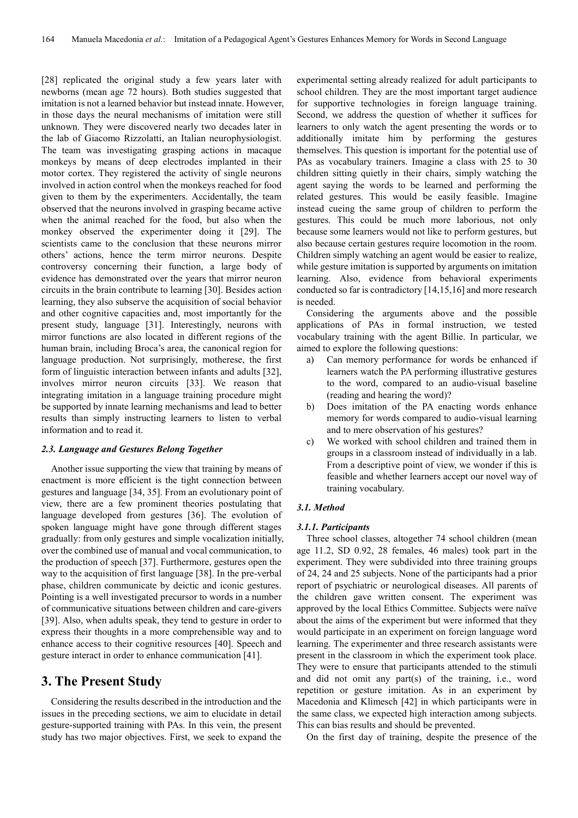[28] replicated the original study a few years later with newborns (mean age 72 hours). Both studies suggested that imitation is not a learned behavior but instead innate. However, in those days the neural mechanisms of imitation were still unknown. They were discovered nearly two decades later in the lab of Giacomo Rizzolatti, an Italian neurophysiologist. The team was investigating grasping actions in macaque monkeys by means of deep electrodes implanted in their motor cortex. They registered the activity of single neurons involved in action control when the monkeys reached for food given to them by the experimenters. Accidentally, the team observed that the neurons involved in grasping became active when the animal reached for the food, but also when the monkey observed the experimenter doing it [29]. The scientists came to the conclusion that these neurons mirror others' actions, hence the term mirror neurons. Despite controversy concerning their function, a large body of evidence has demonstrated over the years that mirror neuron circuits in the brain contribute to learning [30]. Besides action learning, they also subserve the acquisition of social behavior and other cognitive capacities and, most importantly for the present study, language [31]. Interestingly, neurons with mirror functions are also located in different regions of the human brain, including Broca's area, the canonical region for language production. Not surprisingly, motherese, the first form of linguistic interaction between infants and adults [32], involves mirror neuron circuits [33]. We reason that integrating imitation in a language training procedure might be supported by innate learning mechanisms and lead to better results than simply instructing learners to listen to verbal information and to read it.

#### *2.3. Language and Gestures Belong Together*

Another issue supporting the view that training by means of enactment is more efficient is the tight connection between gestures and language [34, 35]. From an evolutionary point of view, there are a few prominent theories postulating that language developed from gestures [36]. The evolution of spoken language might have gone through different stages gradually: from only gestures and simple vocalization initially, over the combined use of manual and vocal communication, to the production of speech [37]. Furthermore, gestures open the way to the acquisition of first language [38]. In the pre-verbal phase, children communicate by deictic and iconic gestures. Pointing is a well investigated precursor to words in a number of communicative situations between children and care-givers [39]. Also, when adults speak, they tend to gesture in order to express their thoughts in a more comprehensible way and to enhance access to their cognitive resources [40]. Speech and gesture interact in order to enhance communication [41].

## **3. The Present Study**

Considering the results described in the introduction and the issues in the preceding sections, we aim to elucidate in detail gesture-supported training with PAs. In this vein, the present study has two major objectives. First, we seek to expand the

experimental setting already realized for adult participants to school children. They are the most important target audience for supportive technologies in foreign language training. Second, we address the question of whether it suffices for learners to only watch the agent presenting the words or to additionally imitate him by performing the gestures themselves. This question is important for the potential use of PAs as vocabulary trainers. Imagine a class with 25 to 30 children sitting quietly in their chairs, simply watching the agent saying the words to be learned and performing the related gestures. This would be easily feasible. Imagine instead cueing the same group of children to perform the gestures. This could be much more laborious, not only because some learners would not like to perform gestures, but also because certain gestures require locomotion in the room. Children simply watching an agent would be easier to realize, while gesture imitation is supported by arguments on imitation learning. Also, evidence from behavioral experiments conducted so far is contradictory [14,15,16] and more research is needed.

Considering the arguments above and the possible applications of PAs in formal instruction, we tested vocabulary training with the agent Billie. In particular, we aimed to explore the following questions:

- a) Can memory performance for words be enhanced if learners watch the PA performing illustrative gestures to the word, compared to an audio-visual baseline (reading and hearing the word)?
- b) Does imitation of the PA enacting words enhance memory for words compared to audio-visual learning and to mere observation of his gestures?
- c) We worked with school children and trained them in groups in a classroom instead of individually in a lab. From a descriptive point of view, we wonder if this is feasible and whether learners accept our novel way of training vocabulary.

#### *3.1. Method*

#### *3.1.1. Participants*

Three school classes, altogether 74 school children (mean age 11.2, SD 0.92, 28 females, 46 males) took part in the experiment. They were subdivided into three training groups of 24, 24 and 25 subjects. None of the participants had a prior report of psychiatric or neurological diseases. All parents of the children gave written consent. The experiment was approved by the local Ethics Committee. Subjects were naïve about the aims of the experiment but were informed that they would participate in an experiment on foreign language word learning. The experimenter and three research assistants were present in the classroom in which the experiment took place. They were to ensure that participants attended to the stimuli and did not omit any part(s) of the training, i.e., word repetition or gesture imitation. As in an experiment by Macedonia and Klimesch [42] in which participants were in the same class, we expected high interaction among subjects. This can bias results and should be prevented.

On the first day of training, despite the presence of the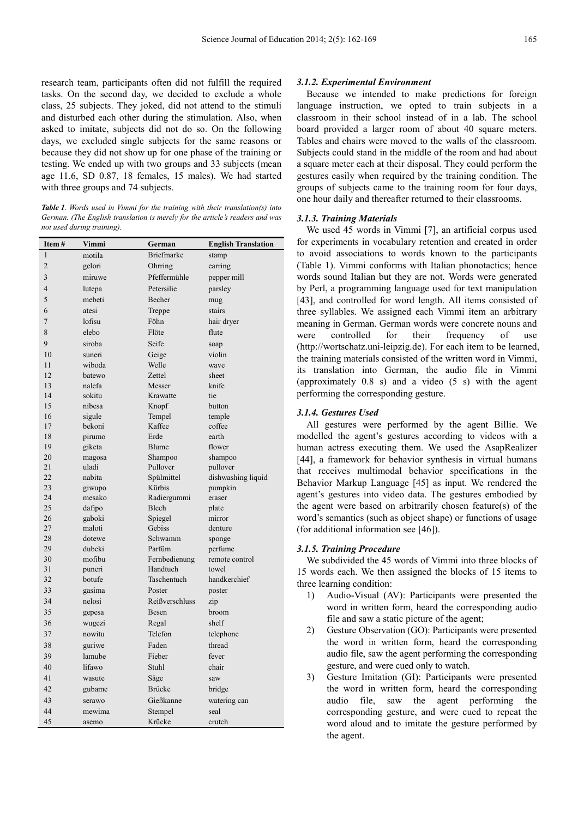research team, participants often did not fulfill the required tasks. On the second day, we decided to exclude a whole class, 25 subjects. They joked, did not attend to the stimuli and disturbed each other during the stimulation. Also, when asked to imitate, subjects did not do so. On the following days, we excluded single subjects for the same reasons or because they did not show up for one phase of the training or testing. We ended up with two groups and 33 subjects (mean age 11.6, SD 0.87, 18 females, 15 males). We had started with three groups and 74 subjects.

*Table 1. Words used in Vimmi for the training with their translation(s) into German. (The English translation is merely for the article's readers and was not used during training).* 

| Item#          | Vimmi  | German            | <b>English Translation</b> |  |
|----------------|--------|-------------------|----------------------------|--|
| $\mathbf{1}$   | motila | <b>Briefmarke</b> | stamp                      |  |
| $\overline{2}$ | gelori | Ohrring           | earring                    |  |
| 3              | miruwe | Pfeffermühle      | pepper mill                |  |
| $\overline{4}$ | lutepa | Petersilie        | parsley                    |  |
| 5              | mebeti | Becher            | mug                        |  |
| 6              | atesi  | Treppe            | stairs                     |  |
| $\overline{7}$ | lofisu | Föhn              | hair dryer                 |  |
| 8              | elebo  | Flöte             | flute                      |  |
| 9              | siroba | Seife             | soap                       |  |
| 10             | suneri | Geige             | violin                     |  |
| 11             | wiboda | Welle             | wave                       |  |
| 12             | batewo | Zettel            | sheet                      |  |
| 13             | nalefa | Messer            | knife                      |  |
| 14             | sokitu | Krawatte          | tie                        |  |
| 15             | nibesa | Knopf             | button                     |  |
| 16             | sigule | Tempel            | temple                     |  |
| 17             | bekoni | Kaffee            | coffee                     |  |
| 18             | pirumo | Erde              | earth                      |  |
| 19             | giketa | Blume             | flower                     |  |
| 20             | magosa | Shampoo           | shampoo                    |  |
| 21             | uladi  | Pullover          | pullover                   |  |
| 22             | nabita | Spülmittel        | dishwashing liquid         |  |
| 23             | giwupo | Kürbis            | pumpkin                    |  |
| 24             | mesako | Radiergummi       | eraser                     |  |
| 25             | dafipo | Blech             | plate                      |  |
| 26             | gaboki | Spiegel           | mirror                     |  |
| 27             | maloti | Gebiss            | denture                    |  |
| 28             | dotewe | Schwamm           | sponge                     |  |
| 29             | dubeki | Parfüm            | perfume                    |  |
| 30             | mofibu | Fernbedienung     | remote control             |  |
| 31             | puneri | Handtuch          | towel                      |  |
| 32             | botufe | Taschentuch       | handkerchief               |  |
| 33             | gasima | Poster            | poster                     |  |
| 34             | nelosi | Reißverschluss    | zip                        |  |
| 35             | gepesa | Besen             | broom                      |  |
| 36             | wugezi | Regal             | shelf                      |  |
| 37             | nowitu | Telefon           | telephone                  |  |
| 38             | guriwe | Faden             | thread                     |  |
| 39             | lamube | Fieber            | fever                      |  |
| 40             | lifawo | Stuhl             | chair                      |  |
| 41             | wasute | Säge              | saw                        |  |
| 42             | gubame | <b>Brücke</b>     | bridge                     |  |
| 43             | serawo | Gießkanne         | watering can               |  |
| 44             | mewima | Stempel           | seal                       |  |
| 45             | asemo  | Krücke            | crutch                     |  |

#### *3.1.2. Experimental Environment*

Because we intended to make predictions for foreign language instruction, we opted to train subjects in a classroom in their school instead of in a lab. The school board provided a larger room of about 40 square meters. Tables and chairs were moved to the walls of the classroom. Subjects could stand in the middle of the room and had about a square meter each at their disposal. They could perform the gestures easily when required by the training condition. The groups of subjects came to the training room for four days, one hour daily and thereafter returned to their classrooms.

#### *3.1.3. Training Materials*

We used 45 words in Vimmi [7], an artificial corpus used for experiments in vocabulary retention and created in order to avoid associations to words known to the participants (Table 1). Vimmi conforms with Italian phonotactics; hence words sound Italian but they are not. Words were generated by Perl, a programming language used for text manipulation [43], and controlled for word length. All items consisted of three syllables. We assigned each Vimmi item an arbitrary meaning in German. German words were concrete nouns and were controlled for their frequency of use (http://wortschatz.uni-leipzig.de). For each item to be learned, the training materials consisted of the written word in Vimmi, its translation into German, the audio file in Vimmi (approximately 0.8 s) and a video (5 s) with the agent performing the corresponding gesture.

#### *3.1.4. Gestures Used*

All gestures were performed by the agent Billie. We modelled the agent's gestures according to videos with a human actress executing them. We used the AsapRealizer [44], a framework for behavior synthesis in virtual humans that receives multimodal behavior specifications in the Behavior Markup Language [45] as input. We rendered the agent's gestures into video data. The gestures embodied by the agent were based on arbitrarily chosen feature(s) of the word's semantics (such as object shape) or functions of usage (for additional information see [46]).

#### *3.1.5. Training Procedure*

We subdivided the 45 words of Vimmi into three blocks of 15 words each. We then assigned the blocks of 15 items to three learning condition:

- 1) Audio-Visual (AV): Participants were presented the word in written form, heard the corresponding audio file and saw a static picture of the agent;
- 2) Gesture Observation (GO): Participants were presented the word in written form, heard the corresponding audio file, saw the agent performing the corresponding gesture, and were cued only to watch.
- 3) Gesture Imitation (GI): Participants were presented the word in written form, heard the corresponding audio file, saw the agent performing the corresponding gesture, and were cued to repeat the word aloud and to imitate the gesture performed by the agent.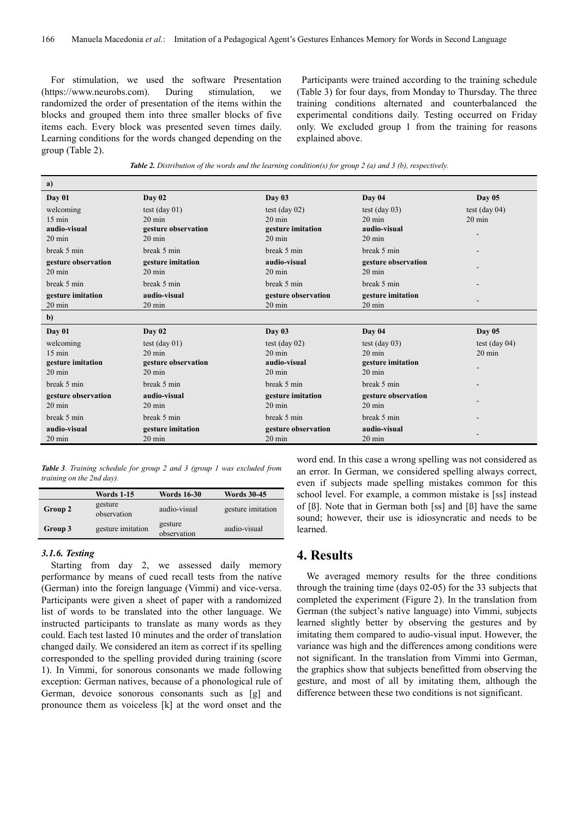For stimulation, we used the software Presentation (https://www.neurobs.com). During stimulation, we randomized the order of presentation of the items within the blocks and grouped them into three smaller blocks of five items each. Every block was presented seven times daily. Learning conditions for the words changed depending on the group (Table 2).

Participants were trained according to the training schedule (Table 3) for four days, from Monday to Thursday. The three training conditions alternated and counterbalanced the experimental conditions daily. Testing occurred on Friday only. We excluded group 1 from the training for reasons explained above.

|  |  | <b>Table 2.</b> Distribution of the words and the learning condition(s) for group 2 (a) and 3 (b), respectively. |  |
|--|--|------------------------------------------------------------------------------------------------------------------|--|
|--|--|------------------------------------------------------------------------------------------------------------------|--|

| a)                  |                         |                     |                     |                  |
|---------------------|-------------------------|---------------------|---------------------|------------------|
| Day 01              | Day 02                  | Day 03              | Day 04              | Day $05$         |
| welcoming           | test $(\text{day } 01)$ | test (day $02$ )    | test (day $03$ )    | test (day $04$ ) |
| $15 \text{ min}$    | $20 \text{ min}$        | $20 \text{ min}$    | $20 \text{ min}$    | $20 \text{ min}$ |
| audio-visual        | gesture observation     | gesture imitation   | audio-visual        |                  |
| $20 \text{ min}$    | $20 \text{ min}$        | $20 \text{ min}$    | $20 \text{ min}$    |                  |
| break 5 min         | break 5 min             | break 5 min         | break 5 min         |                  |
| gesture observation | gesture imitation       | audio-visual        | gesture observation |                  |
| $20 \text{ min}$    | $20 \text{ min}$        | $20 \text{ min}$    | $20 \text{ min}$    |                  |
| break 5 min         | break 5 min             | break 5 min         | break 5 min         |                  |
| gesture imitation   | audio-visual            | gesture observation | gesture imitation   |                  |
| $20 \text{ min}$    | $20 \text{ min}$        | $20 \text{ min}$    | $20 \text{ min}$    |                  |
| $\mathbf{b}$        |                         |                     |                     |                  |
| Day 01              | Day 02                  | Day 03              | Day 04              | <b>Day 05</b>    |
| welcoming           | test (day $01$ )        | test (day $02$ )    | test (day $03$ )    | test (day $04$ ) |
| $15 \text{ min}$    | $20 \text{ min}$        | $20 \text{ min}$    | $20 \text{ min}$    | $20 \text{ min}$ |
| gesture imitation   | gesture observation     | audio-visual        | gesture imitation   |                  |
| $20 \text{ min}$    | $20 \text{ min}$        | $20 \text{ min}$    | $20 \text{ min}$    |                  |
| break 5 min         | break 5 min             | break 5 min         | break 5 min         |                  |
| gesture observation | audio-visual            | gesture imitation   | gesture observation |                  |
| $20 \text{ min}$    | $20 \text{ min}$        | $20 \text{ min}$    | $20 \text{ min}$    |                  |
| break 5 min         | break 5 min             | break 5 min         | break 5 min         |                  |
| audio-visual        | gesture imitation       | gesture observation | audio-visual        |                  |
| $20 \text{ min}$    | $20 \text{ min}$        | $20 \text{ min}$    | $20 \text{ min}$    |                  |

*Table 3. Training schedule for group 2 and 3 (group 1 was excluded from training on the 2nd day).*

|         | <b>Words 1-15</b>      | <b>Words 16-30</b>     | <b>Words 30-45</b> |
|---------|------------------------|------------------------|--------------------|
| Group 2 | gesture<br>observation | audio-visual           | gesture imitation  |
| Group 3 | gesture imitation      | gesture<br>observation | audio-visual       |

#### *3.1.6. Testing*

Starting from day 2, we assessed daily memory performance by means of cued recall tests from the native (German) into the foreign language (Vimmi) and vice-versa. Participants were given a sheet of paper with a randomized list of words to be translated into the other language. We instructed participants to translate as many words as they could. Each test lasted 10 minutes and the order of translation changed daily. We considered an item as correct if its spelling corresponded to the spelling provided during training (score 1). In Vimmi, for sonorous consonants we made following exception: German natives, because of a phonological rule of German, devoice sonorous consonants such as [g] and pronounce them as voiceless [k] at the word onset and the word end. In this case a wrong spelling was not considered as an error. In German, we considered spelling always correct, even if subjects made spelling mistakes common for this school level. For example, a common mistake is [ss] instead of [ß]. Note that in German both [ss] and [ß] have the same sound; however, their use is idiosyncratic and needs to be learned.

## **4. Results**

We averaged memory results for the three conditions through the training time (days 02-05) for the 33 subjects that completed the experiment (Figure 2). In the translation from German (the subject's native language) into Vimmi, subjects learned slightly better by observing the gestures and by imitating them compared to audio-visual input. However, the variance was high and the differences among conditions were not significant. In the translation from Vimmi into German, the graphics show that subjects benefitted from observing the gesture, and most of all by imitating them, although the difference between these two conditions is not significant.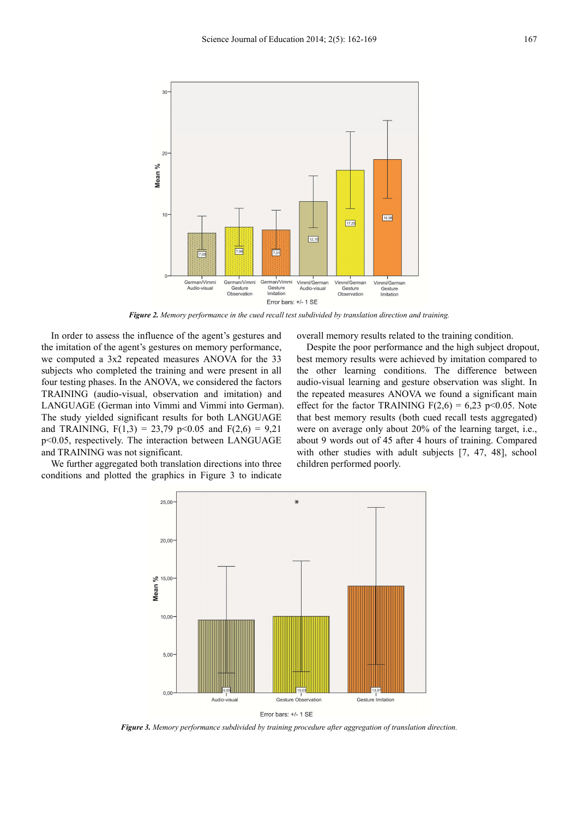

*Figure 2. Memory performance in the cued recall test subdivided by translation direction and training.* 

In order to assess the influence of the agent's gestures and the imitation of the agent's gestures on memory performance, we computed a 3x2 repeated measures ANOVA for the 33 subjects who completed the training and were present in all four testing phases. In the ANOVA, we considered the factors TRAINING (audio-visual, observation and imitation) and LANGUAGE (German into Vimmi and Vimmi into German). The study yielded significant results for both LANGUAGE and TRAINING,  $F(1,3) = 23,79$  p<0.05 and  $F(2,6) = 9,21$ p<0.05, respectively. The interaction between LANGUAGE and TRAINING was not significant.

We further aggregated both translation directions into three conditions and plotted the graphics in Figure 3 to indicate overall memory results related to the training condition.

Despite the poor performance and the high subject dropout, best memory results were achieved by imitation compared to the other learning conditions. The difference between audio-visual learning and gesture observation was slight. In the repeated measures ANOVA we found a significant main effect for the factor TRAINING  $F(2,6) = 6,23$  p<0.05. Note that best memory results (both cued recall tests aggregated) were on average only about 20% of the learning target, i.e., about 9 words out of 45 after 4 hours of training. Compared with other studies with adult subjects [7, 47, 48], school children performed poorly.



*Figure 3. Memory performance subdivided by training procedure after aggregation of translation direction.*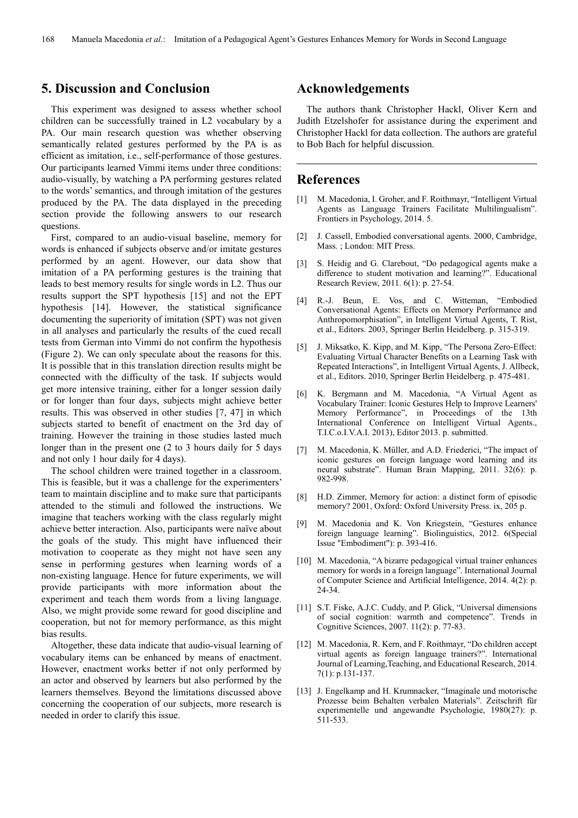## **5. Discussion and Conclusion**

This experiment was designed to assess whether school children can be successfully trained in L2 vocabulary by a PA. Our main research question was whether observing semantically related gestures performed by the PA is as efficient as imitation, i.e., self-performance of those gestures. Our participants learned Vimmi items under three conditions: audio-visually, by watching a PA performing gestures related to the words' semantics, and through imitation of the gestures produced by the PA. The data displayed in the preceding section provide the following answers to our research questions.

First, compared to an audio-visual baseline, memory for words is enhanced if subjects observe and/or imitate gestures performed by an agent. However, our data show that imitation of a PA performing gestures is the training that leads to best memory results for single words in L2. Thus our results support the SPT hypothesis [15] and not the EPT hypothesis [14]. However, the statistical significance documenting the superiority of imitation (SPT) was not given in all analyses and particularly the results of the cued recall tests from German into Vimmi do not confirm the hypothesis (Figure 2). We can only speculate about the reasons for this. It is possible that in this translation direction results might be connected with the difficulty of the task. If subjects would get more intensive training, either for a longer session daily or for longer than four days, subjects might achieve better results. This was observed in other studies [7, 47] in which subjects started to benefit of enactment on the 3rd day of training. However the training in those studies lasted much longer than in the present one (2 to 3 hours daily for 5 days and not only 1 hour daily for 4 days).

The school children were trained together in a classroom. This is feasible, but it was a challenge for the experimenters' team to maintain discipline and to make sure that participants attended to the stimuli and followed the instructions. We imagine that teachers working with the class regularly might achieve better interaction. Also, participants were naïve about the goals of the study. This might have influenced their motivation to cooperate as they might not have seen any sense in performing gestures when learning words of a non-existing language. Hence for future experiments, we will provide participants with more information about the experiment and teach them words from a living language. Also, we might provide some reward for good discipline and cooperation, but not for memory performance, as this might bias results.

Altogether, these data indicate that audio-visual learning of vocabulary items can be enhanced by means of enactment. However, enactment works better if not only performed by an actor and observed by learners but also performed by the learners themselves. Beyond the limitations discussed above concerning the cooperation of our subjects, more research is needed in order to clarify this issue.

## **Acknowledgements**

The authors thank Christopher Hackl, Oliver Kern and Judith Etzelshofer for assistance during the experiment and Christopher Hackl for data collection. The authors are grateful to Bob Bach for helpful discussion.

### **References**

- [1] M. Macedonia, I. Groher, and F. Roithmayr, "Intelligent Virtual Agents as Language Trainers Facilitate Multilingualism". Frontiers in Psychology, 2014. 5.
- [2] J. Cassell, Embodied conversational agents. 2000, Cambridge, Mass. ; London: MIT Press.
- [3] S. Heidig and G. Clarebout, "Do pedagogical agents make a difference to student motivation and learning?". Educational Research Review, 2011. 6(1): p. 27-54.
- [4] R.-J. Beun, E. Vos, and C. Witteman, "Embodied Conversational Agents: Effects on Memory Performance and Anthropomorphisation", in Intelligent Virtual Agents, T. Rist, et al., Editors. 2003, Springer Berlin Heidelberg. p. 315-319.
- [5] J. Miksatko, K. Kipp, and M. Kipp, "The Persona Zero-Effect: Evaluating Virtual Character Benefits on a Learning Task with Repeated Interactions", in Intelligent Virtual Agents, J. Allbeck, et al., Editors. 2010, Springer Berlin Heidelberg. p. 475-481.
- [6] K. Bergmann and M. Macedonia, "A Virtual Agent as Vocabulary Trainer: Iconic Gestures Help to Improve Learners' Memory Performance", in Proceedings of the 13th International Conference on Intelligent Virtual Agents., T.I.C.o.I.V.A.I. 2013), Editor 2013. p. submitted.
- [7] M. Macedonia, K. Müller, and A.D. Friederici, "The impact of iconic gestures on foreign language word learning and its neural substrate". Human Brain Mapping, 2011. 32(6): p. 982-998.
- [8] H.D. Zimmer, Memory for action: a distinct form of episodic memory? 2001, Oxford: Oxford University Press. ix, 205 p.
- [9] M. Macedonia and K. Von Kriegstein, "Gestures enhance foreign language learning". Biolinguistics, 2012. 6(Special Issue "Embodiment"): p. 393-416.
- [10] M. Macedonia, "A bizarre pedagogical virtual trainer enhances memory for words in a foreign language". International Journal of Computer Science and Artificial Intelligence, 2014. 4(2): p. 24-34.
- [11] S.T. Fiske, A.J.C. Cuddy, and P. Glick, "Universal dimensions of social cognition: warmth and competence". Trends in Cognitive Sciences, 2007. 11(2): p. 77-83.
- [12] M. Macedonia, R. Kern, and F. Roithmayr, "Do children accept virtual agents as foreign language trainers?". International Journal of Learning,Teaching, and Educational Research, 2014. 7(1): p.131-137.
- [13] J. Engelkamp and H. Krumnacker, "Imaginale und motorische Prozesse beim Behalten verbalen Materials". Zeitschrift für experimentelle und angewandte Psychologie, 1980(27): p. 511-533.